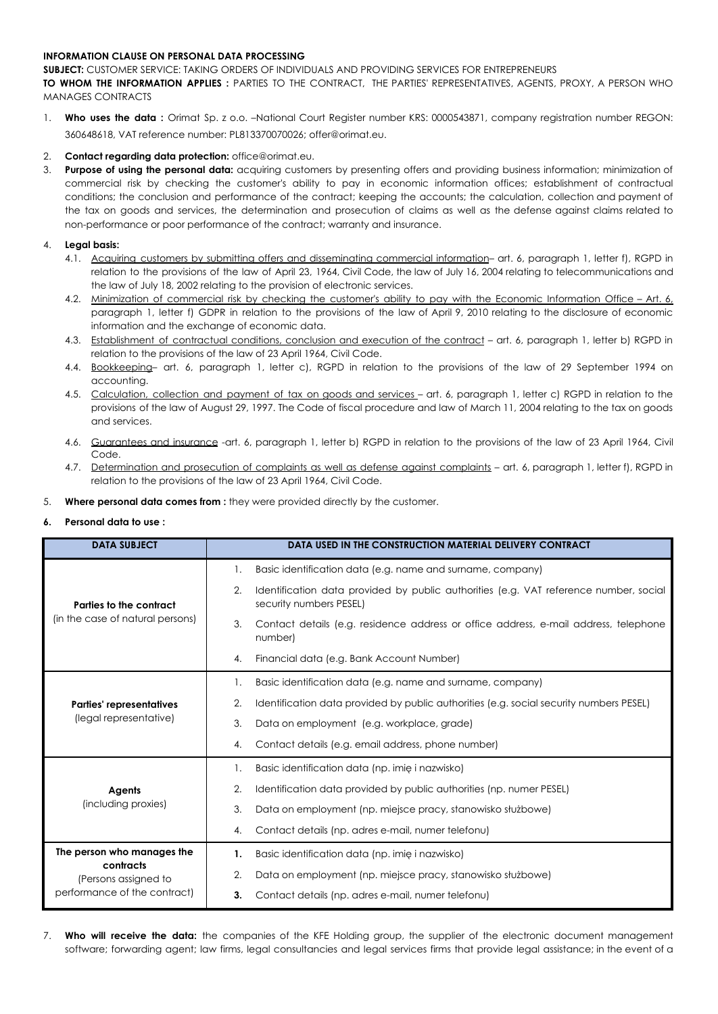#### **INFORMATION CLAUSE ON PERSONAL DATA PROCESSING**

**SUBJECT:** CUSTOMER SERVICE: TAKING ORDERS OF INDIVIDUALS AND PROVIDING SERVICES FOR ENTREPRENEURS

**TO WHOM THE INFORMATION APPLIES :** PARTIES TO THE CONTRACT, THE PARTIES' REPRESENTATIVES, AGENTS, PROXY, A PERSON WHO MANAGES CONTRACTS

1. **Who uses the data :** Orimat Sp. z o.o. –National Court Register number KRS: 0000543871, company registration number REGON: 360648618, VAT reference number: PL813370070026; offer@orimat.eu.

## 2. **Contact regarding data protection:** office@orimat.eu.

3. **Purpose of using the personal data:** acquiring customers by presenting offers and providing business information; minimization of commercial risk by checking the customer's ability to pay in economic information offices; establishment of contractual conditions; the conclusion and performance of the contract; keeping the accounts; the calculation, collection and payment of the tax on goods and services, the determination and prosecution of claims as well as the defense against claims related to non-performance or poor performance of the contract; warranty and insurance.

## 4. **Legal basis:**

- 4.1. Acquiring customers by submitting offers and disseminating commercial information– art. 6, paragraph 1, letter f), RGPD in relation to the provisions of the law of April 23, 1964, Civil Code, the law of July 16, 2004 relating to telecommunications and the law of July 18, 2002 relating to the provision of electronic services.
- 4.2. Minimization of commercial risk by checking the customer's ability to pay with the Economic Information Office Art. 6, paragraph 1, letter f) GDPR in relation to the provisions of the law of April 9, 2010 relating to the disclosure of economic information and the exchange of economic data.
- 4.3. Establishment of contractual conditions, conclusion and execution of the contract art. 6, paragraph 1, letter b) RGPD in relation to the provisions of the law of 23 April 1964, Civil Code.
- 4.4. Bookkeeping– art. 6, paragraph 1, letter c), RGPD in relation to the provisions of the law of 29 September 1994 on accounting.
- 4.5. Calculation, collection and payment of tax on goods and services art. 6, paragraph 1, letter c) RGPD in relation to the provisions of the law of August 29, 1997. The Code of fiscal procedure and law of March 11, 2004 relating to the tax on goods and services.
- 4.6. Guarantees and insurance -art. 6, paragraph 1, letter b) RGPD in relation to the provisions of the law of 23 April 1964, Civil Code.
- 4.7. Determination and prosecution of complaints as well as defense against complaints art. 6, paragraph 1, letter f), RGPD in relation to the provisions of the law of 23 April 1964, Civil Code.
- 5. **Where personal data comes from :** they were provided directly by the customer.

#### **6. Personal data to use :**

| <b>DATA SUBJECT</b>                                               | DATA USED IN THE CONSTRUCTION MATERIAL DELIVERY CONTRACT                                                               |  |  |
|-------------------------------------------------------------------|------------------------------------------------------------------------------------------------------------------------|--|--|
| Parties to the contract<br>(in the case of natural persons)       | Basic identification data (e.g. name and surname, company)<br>1.                                                       |  |  |
|                                                                   | 2.<br>Identification data provided by public authorities (e.g. VAT reference number, social<br>security numbers PESEL) |  |  |
|                                                                   | 3.<br>Contact details (e.g. residence address or office address, e-mail address, telephone<br>number)                  |  |  |
|                                                                   | Financial data (e.g. Bank Account Number)<br>4.                                                                        |  |  |
| <b>Parties' representatives</b><br>(legal representative)         | Basic identification data (e.g. name and surname, company)<br>1.                                                       |  |  |
|                                                                   | Identification data provided by public authorities (e.g. social security numbers PESEL)<br>2.                          |  |  |
|                                                                   | 3.<br>Data on employment (e.g. workplace, grade)                                                                       |  |  |
|                                                                   | Contact details (e.g. email address, phone number)<br>4.                                                               |  |  |
|                                                                   | Basic identification data (np. imie i nazwisko)<br>1.                                                                  |  |  |
| <b>Agents</b>                                                     | 2.<br>Identification data provided by public authorities (np. numer PESEL)                                             |  |  |
| (including proxies)                                               | 3.<br>Data on employment (np. miejsce pracy, stanowisko służbowe)                                                      |  |  |
|                                                                   | Contact details (np. adres e-mail, numer telefonu)<br>4.                                                               |  |  |
| The person who manages the                                        | Basic identification data (np. imie i nazwisko)<br>1.                                                                  |  |  |
| contracts<br>(Persons assigned to<br>performance of the contract) | 2.<br>Data on employment (np. miejsce pracy, stanowisko służbowe)                                                      |  |  |
|                                                                   | Contact details (np. adres e-mail, numer telefonu)<br>3.                                                               |  |  |

7. **Who will receive the data:** the companies of the KFE Holding group, the supplier of the electronic document management software; forwarding agent; law firms, legal consultancies and legal services firms that provide legal assistance; in the event of a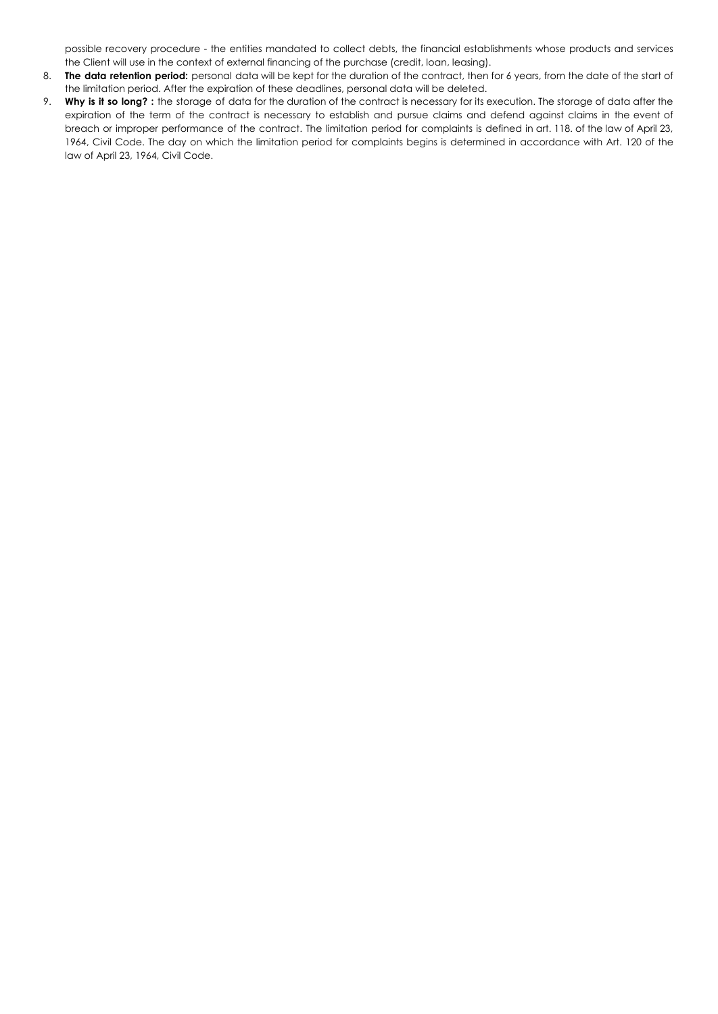possible recovery procedure - the entities mandated to collect debts, the financial establishments whose products and services the Client will use in the context of external financing of the purchase (credit, loan, leasing).

- 8. **The data retention period:** personal data will be kept for the duration of the contract, then for 6 years, from the date of the start of the limitation period. After the expiration of these deadlines, personal data will be deleted.
- 9. **Why is it so long? :** the storage of data for the duration of the contract is necessary for its execution. The storage of data after the expiration of the term of the contract is necessary to establish and pursue claims and defend against claims in the event of breach or improper performance of the contract. The limitation period for complaints is defined in art. 118. of the law of April 23, 1964, Civil Code. The day on which the limitation period for complaints begins is determined in accordance with Art. 120 of the law of April 23, 1964, Civil Code.